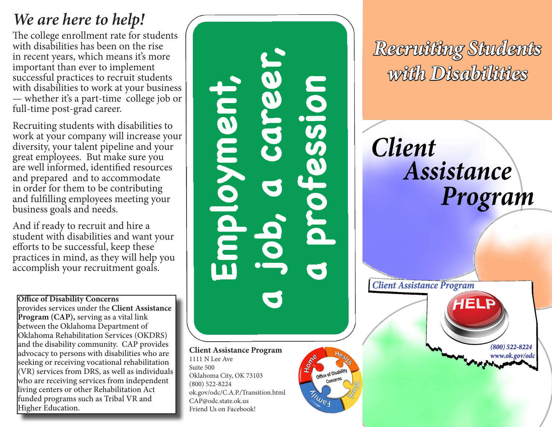## *We are here to help!*

The college enrollment rate for students with disabilities has been on the rise in recent years, which means it's more important than ever to implement successful practices to recruit students with disabilities to work at your business — whether it's a part-time college job or full-time post-grad career.

Recruiting students with disabilities to work at your company will increase your diversity, your talent pipeline and your great employees. But make sure you are well informed, identified resources and prepared and to accommodate in order for them to be contributing and fulfilling employees meeting your business goals and needs.

And if ready to recruit and hire a student with disabilities and want your efforts to be successful, keep these practices in mind, as they will help you accomplish your recruitment goals.

**Office of Disability Concerns**  provides services under the **Client Assistance Program (CAP),** serving as a vital link between the Oklahoma Department of Oklahoma Rehabilitation Services (OKDRS) and the disability community. CAP provides advocacy to persons with disabilities who are seeking or receiving vocational rehabilitation (VR) services from DRS, as well as individuals who are receiving services from independent living centers or other Rehabilitation Act funded programs such as Tribal VR and Higher Education.

Sion ment **Client Assistance Program** 1111 N Lee Ave Suite 500 Office of Disability

Oklahoma City, OK 73103 (800) 522-8224 ok.gov/odc/C.A.P./Transition.html CAP@odc.state.ok.us Friend Us on Facebook!

**TINUES** 

*Recruiting Students with Disabilities*

**Client** Assistance Program

**Client Assistance Program**